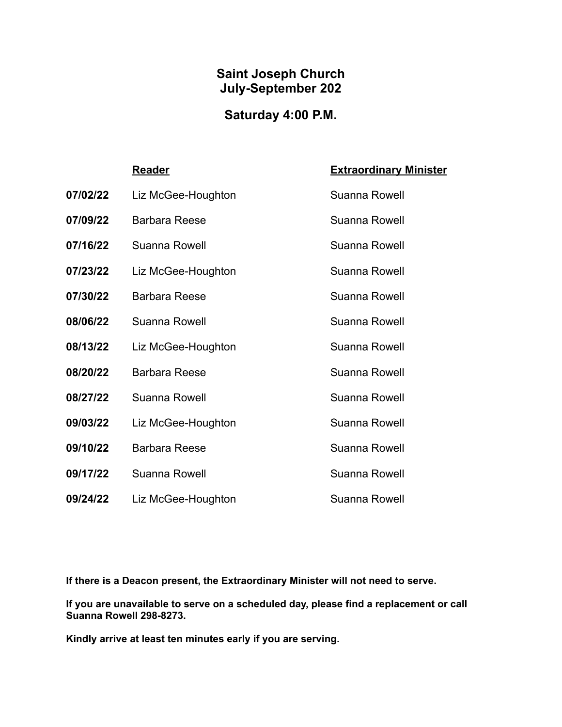#### **Saint Joseph Church July-September 202**

# **Saturday 4:00 P.M.**

|          | <b>Reader</b>        | <b>Extraordinary Minister</b> |
|----------|----------------------|-------------------------------|
| 07/02/22 | Liz McGee-Houghton   | Suanna Rowell                 |
| 07/09/22 | <b>Barbara Reese</b> | Suanna Rowell                 |
| 07/16/22 | Suanna Rowell        | Suanna Rowell                 |
| 07/23/22 | Liz McGee-Houghton   | Suanna Rowell                 |
| 07/30/22 | <b>Barbara Reese</b> | Suanna Rowell                 |
| 08/06/22 | Suanna Rowell        | Suanna Rowell                 |
| 08/13/22 | Liz McGee-Houghton   | Suanna Rowell                 |
| 08/20/22 | <b>Barbara Reese</b> | Suanna Rowell                 |
| 08/27/22 | Suanna Rowell        | Suanna Rowell                 |
| 09/03/22 | Liz McGee-Houghton   | Suanna Rowell                 |
| 09/10/22 | <b>Barbara Reese</b> | Suanna Rowell                 |
| 09/17/22 | Suanna Rowell        | Suanna Rowell                 |
| 09/24/22 | Liz McGee-Houghton   | Suanna Rowell                 |

**If there is a Deacon present, the Extraordinary Minister will not need to serve.**

**If you are unavailable to serve on a scheduled day, please find a replacement or call Suanna Rowell 298-8273.**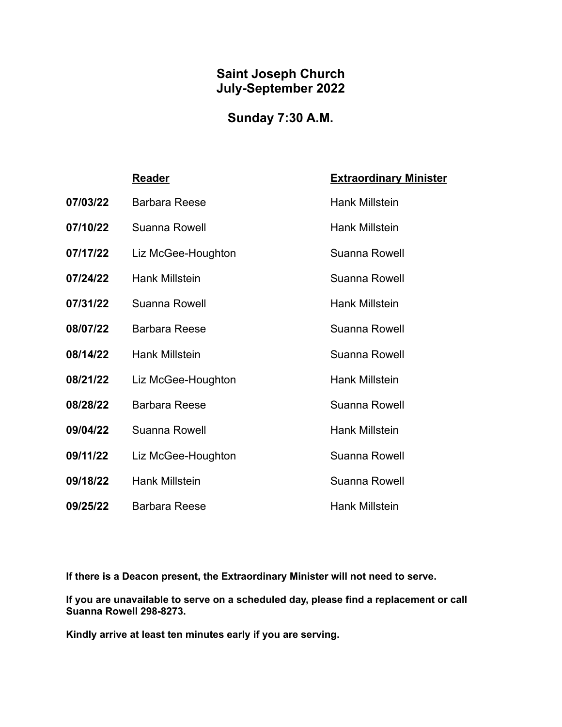#### **Saint Joseph Church July-September 2022**

## **Sunday 7:30 A.M.**

|          | <u>Reader</u>         | <b>Extraordinary Minister</b> |
|----------|-----------------------|-------------------------------|
| 07/03/22 | <b>Barbara Reese</b>  | <b>Hank Millstein</b>         |
| 07/10/22 | Suanna Rowell         | <b>Hank Millstein</b>         |
| 07/17/22 | Liz McGee-Houghton    | Suanna Rowell                 |
| 07/24/22 | Hank Millstein        | Suanna Rowell                 |
| 07/31/22 | Suanna Rowell         | <b>Hank Millstein</b>         |
| 08/07/22 | <b>Barbara Reese</b>  | Suanna Rowell                 |
| 08/14/22 | Hank Millstein        | Suanna Rowell                 |
| 08/21/22 | Liz McGee-Houghton    | <b>Hank Millstein</b>         |
| 08/28/22 | <b>Barbara Reese</b>  | Suanna Rowell                 |
| 09/04/22 | Suanna Rowell         | <b>Hank Millstein</b>         |
| 09/11/22 | Liz McGee-Houghton    | Suanna Rowell                 |
| 09/18/22 | <b>Hank Millstein</b> | Suanna Rowell                 |
| 09/25/22 | <b>Barbara Reese</b>  | <b>Hank Millstein</b>         |

**If there is a Deacon present, the Extraordinary Minister will not need to serve.**

**If you are unavailable to serve on a scheduled day, please find a replacement or call Suanna Rowell 298-8273.**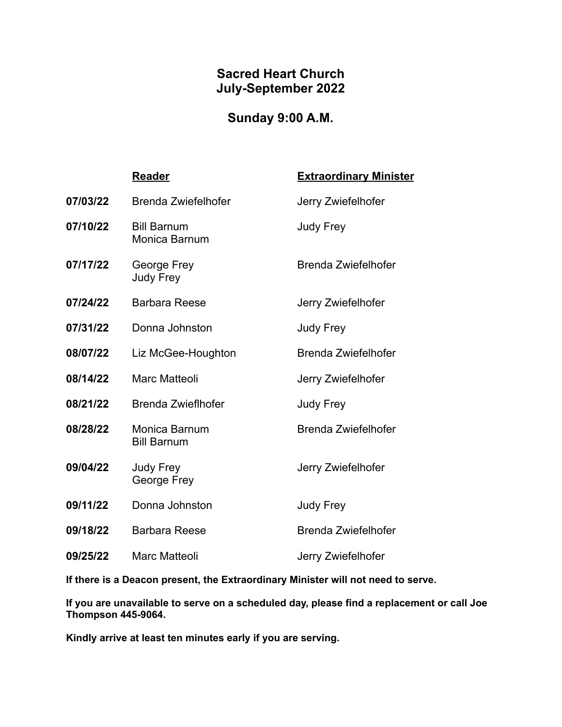#### **Sacred Heart Church July-September 2022**

## **Sunday 9:00 A.M.**

|          | <b>Reader</b>                              | <b>Extraordinary Minister</b> |
|----------|--------------------------------------------|-------------------------------|
| 07/03/22 | Brenda Zwiefelhofer                        | Jerry Zwiefelhofer            |
| 07/10/22 | <b>Bill Barnum</b><br><b>Monica Barnum</b> | <b>Judy Frey</b>              |
| 07/17/22 | George Frey<br>Judy Frey                   | Brenda Zwiefelhofer           |
| 07/24/22 | <b>Barbara Reese</b>                       | Jerry Zwiefelhofer            |
| 07/31/22 | Donna Johnston                             | <b>Judy Frey</b>              |
| 08/07/22 | Liz McGee-Houghton                         | <b>Brenda Zwiefelhofer</b>    |
| 08/14/22 | <b>Marc Matteoli</b>                       | Jerry Zwiefelhofer            |
| 08/21/22 | <b>Brenda Zwieflhofer</b>                  | <b>Judy Frey</b>              |
| 08/28/22 | Monica Barnum<br><b>Bill Barnum</b>        | <b>Brenda Zwiefelhofer</b>    |
| 09/04/22 | Judy Frey<br>George Frey                   | Jerry Zwiefelhofer            |
| 09/11/22 | Donna Johnston                             | <b>Judy Frey</b>              |
| 09/18/22 | <b>Barbara Reese</b>                       | <b>Brenda Zwiefelhofer</b>    |
| 09/25/22 | <b>Marc Matteoli</b>                       | Jerry Zwiefelhofer            |

**If there is a Deacon present, the Extraordinary Minister will not need to serve.**

**If you are unavailable to serve on a scheduled day, please find a replacement or call Joe Thompson 445-9064.**